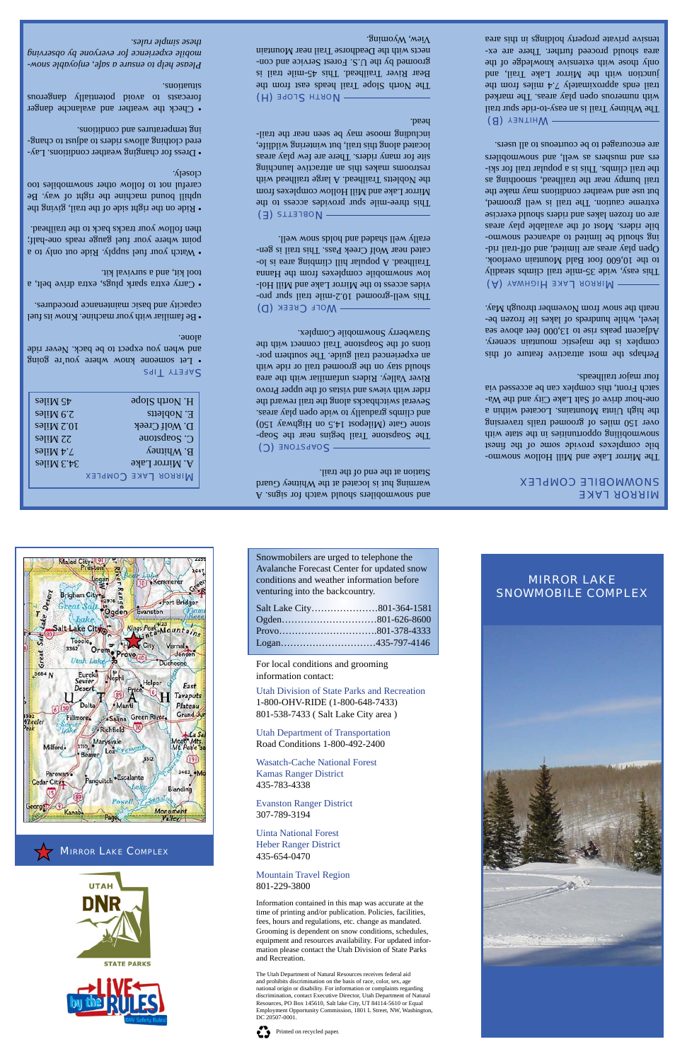| 25 Miles                      | H. North Slope             |
|-------------------------------|----------------------------|
| $5.9$ Miles                   | E. Nobletts                |
| <b>10.2 Miles</b>             | D. Wolf Creek              |
| <b>SPIIM 22</b>               | C. Soapstone               |
| $S$ əli $M \, \nu$ . $\Gamma$ | <b>B. Whitney</b>          |
| $34.3$ Miles                  | A. Mirror Lake             |
|                               | <b>MIRROR LAKE COMPLEX</b> |

**SAFETY TIPS** 

• Let someone know where you're going and when you expect to be back. Never ride alone.

• Watch your fuel supply. Ride out only to a point where your fuel gauge reads one-half; then follow your tracks back to the trailhead.

• Be familiar with your machine. Know its fuel capacity and basic maintenance procedures.

• Ride on the right side of the the the side the uphill bound machine the right of way. Be careful not to follow other snowmobiles too closely.

• Carry extra spark plugs, extra drive belt, a tool kit, and a survival kit.

• Dress for changing weather conditions. Lay-- ered clothing allows riders to adjust to chang ing temperatures and conditions.

> A .angis rof donew bluods stolidomwons bus warming hut is located at the Whitney Guard Station at the end of the trail.

## SOAPSTONE (C)

The Soapstone Trail begins near the Soapstone Gate (Milepost 14.5 on Highway 150) and climbs gradually to wide open play areas. Several switchbacks along the trail reward the rider with views and vistas of the upper Provo River Valley. Riders unfamiliar with the area should stay on the groomed trail or ride with an experienced trail guide. The southern portions of the Soapstone Trail connect with the Strawberry Snowmobile Complex.

MOLF CREEK (D)

• Check the weather and avalanche danger forecasts to avoid potentially dangerous situations.

*- Please help to ensure a safe, enjoyable snow mobile experience for everyone by observing these simple rules.*

> The Mirror Lake and Mill Hollow snowmobile complexes provide some of the finest snowmobiling opportunities in the state with over 150 miles of groomed trails traversing the high Uinta Mountains. Located within a one-hour drive of Salt Lake City and the Wasatch Front, this complex can be accessed via four major trailheads.

- This well-groomed 10.2-mile trail spur pro vides access to the Mirror Lake and Mill Hollow snowmobile complexes from the Hanna -of a frailead. A popular hill climbing area is located near Wolf Creek Pass. This tiail is generally well shaded and holds snow well.

(E) erraueol

**(A)** YAWHOIH JAAL RORRIV This easy, wide 35-mile trail climbs steadily to the 10,600 foot Bald Mountain overlook. - Open play areas are limited, and off-trail rid ing should be limited to advanced somourbile riders. Most of the available play areas are on frozen lakes and riders should exercise extreme caution. The trail is well groomed, but use and weather conditions may make the trail bumpy near the trailhead, smoothing as the trail climbs. This is a popular trail for skiers and mushers as well, and snowmobilers are encouraged to be courteous to all users.

WHITNEY (B)

This three-mile spur provides access to the Mirror Lake and Mill Hollow complexes from the Nobletts Trailhead. A large trailhead with restrooms makes this an attractive launching site for many riders. There are few play areas located along this trail, but wintering wildlife, including moose may be seen near the trailhead.

(H) SLOPE (H) The North Slope Trail heads east from the Bear River Trailhead. This 45-mile trail is groomed by the U.S. Forest Service and connects with the Deadhorse Trail near Mountain  $V$ iew, Wyoming.

## **NIKKOK TYKE COMPLEX**

## mirror lake snowmobile complex

Perhaps the most attractive feature of this complex is the majestic mountain scenery. Adjacent peaks rise to 13,000 feet above sea level, while hundreds of lakes lie frozen beneath the snow from November through May.

The Whitney Trail is an easy-to-ride spur trail with numerous open play areas. The marked trail ends approximately  $\mathcal{L}$   $\mathcal{L}$  approximately from the set of  $\mathcal{L}$ junction with the Mirror Lake Trail, and only those with extensive knowledge of the area should proceed further. There are extensive private property holdings in this area



**MIRROR LAKE COMPLEX** 



**STATE PARKS** 



Snowmobilers are urged to telephone the Avalanche Forecast Center for updated snow conditions and weather information before venturing into the backcountry.



| venturing into the backcountry. |                   |  |  |  |
|---------------------------------|-------------------|--|--|--|
|                                 |                   |  |  |  |
|                                 |                   |  |  |  |
|                                 |                   |  |  |  |
|                                 | Logan435-797-4146 |  |  |  |
|                                 |                   |  |  |  |

For local conditions and grooming information contact:

Utah Division of State Parks and Recreation 1-800-OHV-RIDE (1-800-648-7433) 801-538-7433 ( Salt Lake City area )

Utah Department of Transportation Road Conditions 1-800-492-2400



Wasatch-Cache National Forest Kamas Ranger District

435-783-4338

Evanston Ranger District 307-789-3194

Uinta National Forest Heber Ranger District 435-654-0470

## Mountain Travel Region 801-229-3800

Information contained in this map was accurate at the time of printing and/or publication. Policies, facilities, fees, hours and regulations, etc. change as mandated. Grooming is dependent on snow conditions, schedules, equipment and resources availability. For updated information please contact the Utah Division of State Parks and Recreation.

The Utah Department of Natural Resources receives federal aid and prohibits discrimination on the basis of race, color, sex, age national origin or disability. For information or complaints regarding discrimination, contact Executive Director, Utah Department of Natural Resources, PO Box 145610, Salt lake City, UT 84114-5610 or Equal Employment Opportunity Commission, 1801 L Street, NW, Washington, DC 20507-0001.

Printed on recycled paper.